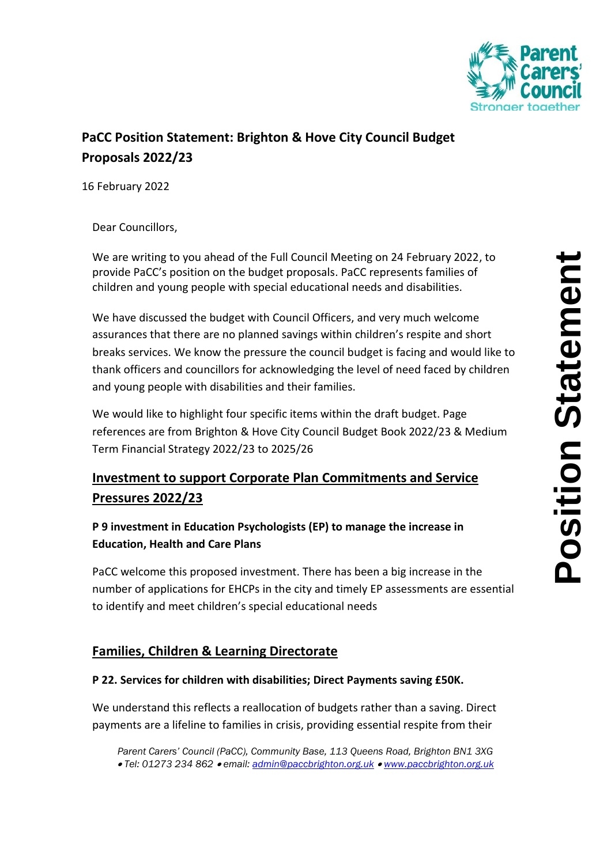

# **PaCC Position Statement: Brighton & Hove City Council Budget Proposals 2022/23**

16 February 2022

Dear Councillors, **Date: 11/01/2022** 

We are writing to you ahead of the Full Council Meeting on 24 February 2022, to provide PaCC's position on the budget proposals. PaCC represents families of children and young people with special educational needs and disabilities.

We have discussed the budget with Council Officers, and very much welcome assurances that there are no planned savings within children's respite and short breaks services. We know the pressure the council budget is facing and would like to thank officers and councillors for acknowledging the level of need faced by children and young people with disabilities and their families.

We would like to highlight four specific items within the draft budget. Page references are from Brighton & Hove City Council Budget Book 2022/23 & Medium Term Financial Strategy 2022/23 to 2025/26

# **Investment to support Corporate Plan Commitments and Service Pressures 2022/23**

## **P 9 investment in Education Psychologists (EP) to manage the increase in Education, Health and Care Plans**

PaCC welcome this proposed investment. There has been a big increase in the number of applications for EHCPs in the city and timely EP assessments are essential to identify and meet children's special educational needs

## **Families, Children & Learning Directorate**

### **P 22. Services for children with disabilities; Direct Payments saving £50K.**

We understand this reflects a reallocation of budgets rather than a saving. Direct payments are a lifeline to families in crisis, providing essential respite from their

*Parent Carers' Council (PaCC), Community Base, 113 Queens Road, Brighton BN1 3XG Tel: 01273 234 862 email: [admin@paccbrighton.org.uk](mailto:admin@paccbrighton.org.uk) [www.paccbrighton.org.uk](http://www.paccbrighton.org.uk/)*